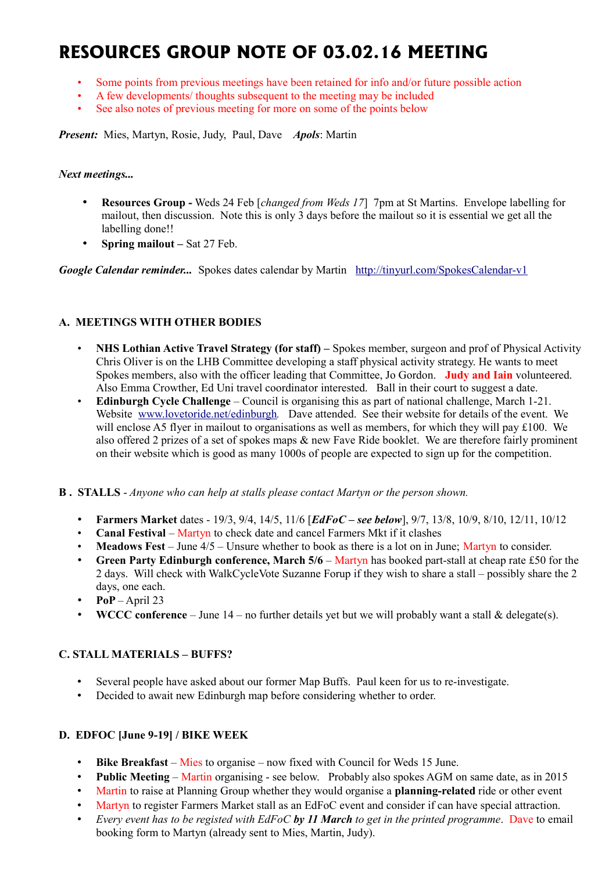# **RESOURCES GROUP NOTE OF 03.02.16 MEETING**

- Some points from previous meetings have been retained for info and/or future possible action
- A few developments/ thoughts subsequent to the meeting may be included
- See also notes of previous meeting for more on some of the points below

*Present:* Mies, Martyn, Rosie, Judy, Paul, Dave *Apols*: Martin

#### *Next meetings...*

- **Resources Group** Weds 24 Feb [*changed from Weds 17*] 7pm at St Martins. Envelope labelling for mailout, then discussion. Note this is only 3 days before the mailout so it is essential we get all the labelling done!!
- **Spring mailout –** Sat 27 Feb.

*Google Calendar reminder...* Spokes dates calendar by Martin <http://tinyurl.com/SpokesCalendar-v1>

## **A. MEETINGS WITH OTHER BODIES**

- **NHS Lothian Active Travel Strategy (for staff) –** Spokes member, surgeon and prof of Physical Activity Chris Oliver is on the LHB Committee developing a staff physical activity strategy. He wants to meet Spokes members, also with the officer leading that Committee, Jo Gordon. **Judy and Iain** volunteered. Also Emma Crowther, Ed Uni travel coordinator interested. Ball in their court to suggest a date.
- **Edinburgh Cycle Challenge** Council is organising this as part of national challenge, March 1-21. Website [www.lovetoride.net/edinburgh](http://www.lovetoride.net/edinburgh)*.* Dave attended. See their website for details of the event. We will enclose A5 flyer in mailout to organisations as well as members, for which they will pay £100. We also offered 2 prizes of a set of spokes maps & new Fave Ride booklet. We are therefore fairly prominent on their website which is good as many 1000s of people are expected to sign up for the competition.
- **B . STALLS** *Anyone who can help at stalls please contact Martyn or the person shown.*
	- **Farmers Market** dates 19/3, 9/4, 14/5, 11/6 [*EdFoC see below*], 9/7, 13/8, 10/9, 8/10, 12/11, 10/12
	- **Canal Festival** Martyn to check date and cancel Farmers Mkt if it clashes
	- **Meadows Fest** June 4/5 Unsure whether to book as there is a lot on in June; Martyn to consider.
	- **Green Party Edinburgh conference, March 5/6** Martyn has booked part-stall at cheap rate £50 for the 2 days. Will check with WalkCycleVote Suzanne Forup if they wish to share a stall – possibly share the 2 days, one each.
	- **PoP** April 23
	- **WCCC conference** June 14 no further details yet but we will probably want a stall & delegate(s).

## **C. STALL MATERIALS – BUFFS?**

- Several people have asked about our former Map Buffs. Paul keen for us to re-investigate.
- Decided to await new Edinburgh map before considering whether to order.

## **D. EDFOC [June 9-19] / BIKE WEEK**

- **Bike Breakfast** Mies to organise now fixed with Council for Weds 15 June.
- **Public Meeting** Martin organising see below. Probably also spokes AGM on same date, as in 2015
- Martin to raise at Planning Group whether they would organise a **planning-related** ride or other event
- Martyn to register Farmers Market stall as an EdFoC event and consider if can have special attraction.
- *Every event has to be registed with EdFoC by 11 March to get in the printed programme*. Dave to email booking form to Martyn (already sent to Mies, Martin, Judy).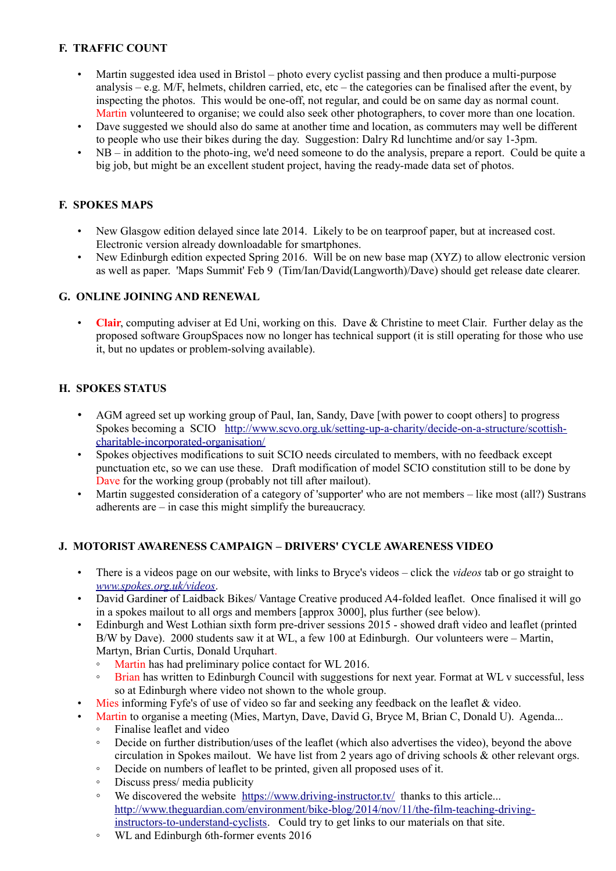# **F. TRAFFIC COUNT**

- Martin suggested idea used in Bristol photo every cyclist passing and then produce a multi-purpose analysis – e.g.  $M/F$ , helmets, children carried, etc, etc – the categories can be finalised after the event, by inspecting the photos. This would be one-off, not regular, and could be on same day as normal count. Martin volunteered to organise; we could also seek other photographers, to cover more than one location.
- Dave suggested we should also do same at another time and location, as commuters may well be different to people who use their bikes during the day. Suggestion: Dalry Rd lunchtime and/or say 1-3pm.
- NB in addition to the photo-ing, we'd need someone to do the analysis, prepare a report. Could be quite a big job, but might be an excellent student project, having the ready-made data set of photos.

## **F. SPOKES MAPS**

- New Glasgow edition delayed since late 2014. Likely to be on tearproof paper, but at increased cost. Electronic version already downloadable for smartphones.
- New Edinburgh edition expected Spring 2016. Will be on new base map (XYZ) to allow electronic version as well as paper. 'Maps Summit' Feb 9 (Tim/Ian/David(Langworth)/Dave) should get release date clearer.

## **G. ONLINE JOINING AND RENEWAL**

• **Clair**, computing adviser at Ed Uni, working on this. Dave & Christine to meet Clair. Further delay as the proposed software GroupSpaces now no longer has technical support (it is still operating for those who use it, but no updates or problem-solving available).

## **H. SPOKES STATUS**

- AGM agreed set up working group of Paul, Ian, Sandy, Dave [with power to coopt others] to progress Spokes becoming a SCIO [http://www.scvo.org.uk/setting-up-a-charity/decide-on-a-structure/scottish](http://www.scvo.org.uk/setting-up-a-charity/decide-on-a-structure/scottish-charitable-incorporated-organisation/)[charitable-incorporated-organisation/](http://www.scvo.org.uk/setting-up-a-charity/decide-on-a-structure/scottish-charitable-incorporated-organisation/)
- Spokes objectives modifications to suit SCIO needs circulated to members, with no feedback except punctuation etc, so we can use these. Draft modification of model SCIO constitution still to be done by Dave for the working group (probably not till after mailout).
- Martin suggested consideration of a category of 'supporter' who are not members like most (all?) Sustrans adherents are – in case this might simplify the bureaucracy.

## **J. MOTORIST AWARENESS CAMPAIGN – DRIVERS' CYCLE AWARENESS VIDEO**

- There is a videos page on our website, with links to Bryce's videos click the *videos* tab or go straight to *[www.spokes.org.uk/videos](http://www.spokes.org.uk/videos)*.
- David Gardiner of Laidback Bikes/ Vantage Creative produced A4-folded leaflet. Once finalised it will go in a spokes mailout to all orgs and members [approx 3000], plus further (see below).
- Edinburgh and West Lothian sixth form pre-driver sessions 2015 showed draft video and leaflet (printed B/W by Dave). 2000 students saw it at WL, a few 100 at Edinburgh. Our volunteers were – Martin, Martyn, Brian Curtis, Donald Urquhart.
	- Martin has had preliminary police contact for WL 2016.
	- Brian has written to Edinburgh Council with suggestions for next year. Format at WL v successful, less so at Edinburgh where video not shown to the whole group.
- Mies informing Fyfe's of use of video so far and seeking any feedback on the leaflet & video.
- Martin to organise a meeting (Mies, Martyn, Dave, David G, Bryce M, Brian C, Donald U). Agenda...
	- Finalise leaflet and video
	- Decide on further distribution/uses of the leaflet (which also advertises the video), beyond the above circulation in Spokes mailout. We have list from 2 years ago of driving schools & other relevant orgs.
	- Decide on numbers of leaflet to be printed, given all proposed uses of it.
	- Discuss press/ media publicity
	- We discovered the website <https://www.driving-instructor.tv/>thanks to this article... [http://www.theguardian.com/environment/bike-blog/2014/nov/11/the-film-teaching-driving](http://www.theguardian.com/environment/bike-blog/2014/nov/11/the-film-teaching-driving-instructors-to-understand-cyclists)[instructors-to-understand-cyclists.](http://www.theguardian.com/environment/bike-blog/2014/nov/11/the-film-teaching-driving-instructors-to-understand-cyclists) Could try to get links to our materials on that site.
	- WL and Edinburgh 6th-former events 2016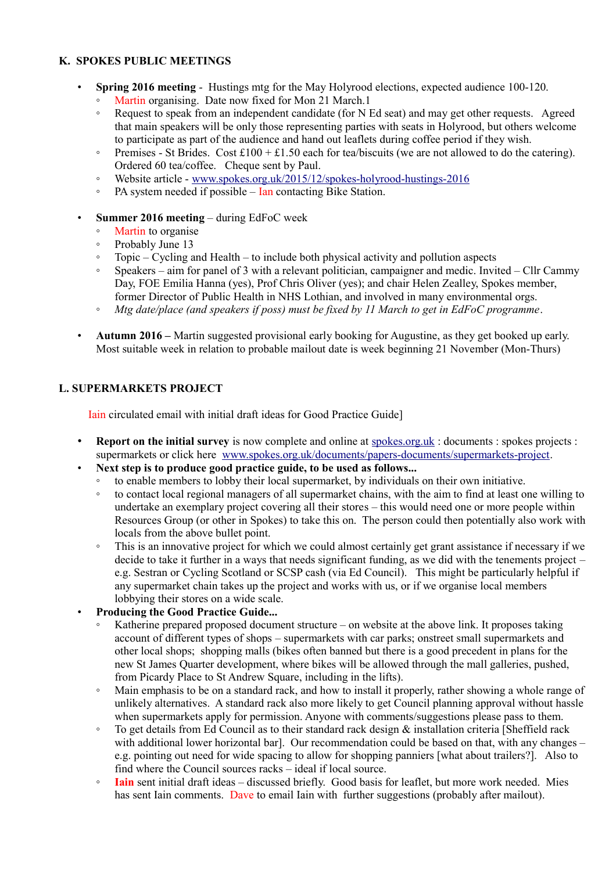#### **K. SPOKES PUBLIC MEETINGS**

- **Spring 2016 meeting** Hustings mtg for the May Holyrood elections, expected audience 100-120.
	- Martin organising. Date now fixed for Mon 21 March.1
	- Request to speak from an independent candidate (for N Ed seat) and may get other requests. Agreed that main speakers will be only those representing parties with seats in Holyrood, but others welcome to participate as part of the audience and hand out leaflets during coffee period if they wish.
	- Premises St Brides. Cost £100 + £1.50 each for tea/biscuits (we are not allowed to do the catering). Ordered 60 tea/coffee. Cheque sent by Paul.
	- Website article - [www.spokes.org.uk/2015/12/spokes-holyrood-hustings-2016](http://www.spokes.org.uk/2015/12/spokes-holyrood-hustings-2016)
	- PA system needed if possible Ian contacting Bike Station.
- **Summer 2016 meeting** during EdFoC week
	- Martin to organise
	- Probably June 13
	- Topic Cycling and Health to include both physical activity and pollution aspects
	- Speakers aim for panel of 3 with a relevant politician, campaigner and medic. Invited Cllr Cammy Day, FOE Emilia Hanna (yes), Prof Chris Oliver (yes); and chair Helen Zealley, Spokes member, former Director of Public Health in NHS Lothian, and involved in many environmental orgs.
	- *Mtg date/place (and speakers if poss) must be fixed by 11 March to get in EdFoC programme*.
- **Autumn 2016 –** Martin suggested provisional early booking for Augustine, as they get booked up early. Most suitable week in relation to probable mailout date is week beginning 21 November (Mon-Thurs)

## **L. SUPERMARKETS PROJECT**

Iain circulated email with initial draft ideas for Good Practice Guide]

- **Report on the initial survey** is now complete and online at [spokes.org.uk](http://spokes.org.uk/) : documents : spokes projects : supermarkets or click here [www.spokes.org.uk/documents/papers-documents/supermarkets-project.](http://www.spokes.org.uk/documents/papers-documents/supermarkets-project/)
- **Next step is to produce good practice guide, to be used as follows...**
	- to enable members to lobby their local supermarket, by individuals on their own initiative.
	- to contact local regional managers of all supermarket chains, with the aim to find at least one willing to undertake an exemplary project covering all their stores – this would need one or more people within Resources Group (or other in Spokes) to take this on. The person could then potentially also work with locals from the above bullet point.
	- This is an innovative project for which we could almost certainly get grant assistance if necessary if we decide to take it further in a ways that needs significant funding, as we did with the tenements project – e.g. Sestran or Cycling Scotland or SCSP cash (via Ed Council). This might be particularly helpful if any supermarket chain takes up the project and works with us, or if we organise local members lobbying their stores on a wide scale.
- **Producing the Good Practice Guide...**
	- Katherine prepared proposed document structure on website at the above link. It proposes taking account of different types of shops – supermarkets with car parks; onstreet small supermarkets and other local shops; shopping malls (bikes often banned but there is a good precedent in plans for the new St James Quarter development, where bikes will be allowed through the mall galleries, pushed, from Picardy Place to St Andrew Square, including in the lifts).
	- Main emphasis to be on a standard rack, and how to install it properly, rather showing a whole range of unlikely alternatives. A standard rack also more likely to get Council planning approval without hassle when supermarkets apply for permission. Anyone with comments/suggestions please pass to them.
	- To get details from Ed Council as to their standard rack design & installation criteria [Sheffield rack with additional lower horizontal barl. Our recommendation could be based on that, with any changes – e.g. pointing out need for wide spacing to allow for shopping panniers [what about trailers?]. Also to find where the Council sources racks – ideal if local source.
	- **Iain** sent initial draft ideas discussed briefly. Good basis for leaflet, but more work needed. Mies has sent Iain comments. Dave to email Iain with further suggestions (probably after mailout).